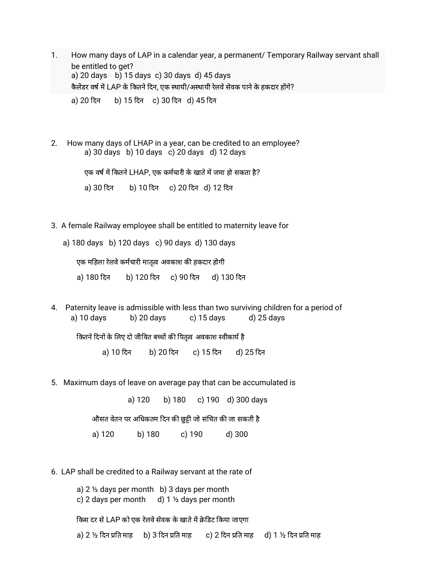- 1. How many days of LAP in a calendar year, a permanent/ Temporary Railway servant shall be entitled to get? a) 20 days b) 15 days c) 30 days d) 45 days कैलेंडर वर्ष में LAP के कितने दिन, एक स्थायी/अस्थायी रेलवे सेवक पाने के हकदार होंगे? a) 20 दन b) 15 दन c) 30 दन d) 45 दन
- 2. How many days of LHAP in a year, can be credited to an employee? a) 30 days b) 10 days c) 20 days d) 12 days

एक वर्ष में कितने LHAP, एक कर्मचारी के खाते में जमा हो सकता है?

a) 30 दन b) 10 दन c) 20 दन d) 12 दन

3. A female Railway employee shall be entitled to maternity leave for

a) 180 days b) 120 days c) 90 days d) 130 days

एक महिला रेलवे कर्मचारी मातृत्व अवकाश की हकदार होगी

a) 180 दन b) 120 दन c) 90 दन d) 130 दन

4. Paternity leave is admissible with less than two surviving children for a period of a) 10 days b) 20 days c) 15 days d) 25 days

कितने दिनों के लिए दो जीवित बच्चों की पितृत्व अवकाश स्वीकार्य है

a) 10 दन b) 20 दन c) 15 दन d) 25 दन

5. Maximum days of leave on average pay that can be accumulated is

a) 120 b) 180 c) 190 d) 300 days

औसत वेतन पर अधिकतम दिन की छुट्टी जो संचित की जा सकती है

a) 120 b) 180 c) 190 d) 300

6. LAP shall be credited to a Railway servant at the rate of

a)  $2\frac{1}{2}$  days per month b) 3 days per month c) 2 days per month d)  $1\frac{1}{2}$  days per month

किस दर से LAP को एक रेलवे सेवक के खाते में क्रेडिट किया जाएगा

a) 2 ½ दिन प्रति माह b) 3 दिन प्रति माह c) 2 दिन प्रति माह d) 1 ½ दिन प्रति माह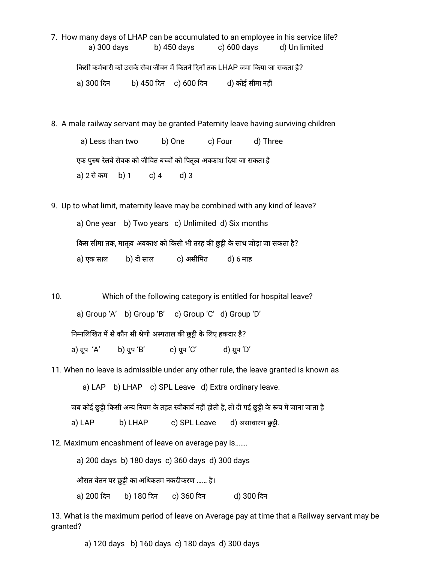- 7. How many days of LHAP can be accumulated to an employee in his service life? a) 300 days b) 450 days c) 600 days d) Un limited किसी कर्मचारी को उसके सेवा जीवन में कितने दिनों तक LHAP जमा किया जा सकता है? a) 300 दन b) 450 दन c) 600 दन d) कोई सीमा नह
- 8. A male railway servant may be granted Paternity leave having surviving children

a) Less than two b) One c) Four d) Three एक पुरुष रेलवे सेवक को जीवित बच्चों को पितृत्व अवकाश दिया जा सकता है a) 2 सेकम b) 1 c) 4 d) 3

9. Up to what limit, maternity leave may be combined with any kind of leave?

a) One year b) Two years c) Unlimited d) Six months किस सीमा तक, मातृत्व अवकाश को किसी भी तरह की छुट्टी के साथ जोड़ा जा सकता है? a) एक साल b) दो साल c) असीमत d) 6 माह

10. Which of the following category is entitled for hospital leave? a) Group 'A' b) Group 'B' c) Group 'C' d) Group 'D' निम्नलिखित में से कौन सी श्रेणी अस्पताल की छुट्टी के लिए हकदार है? a) ग्रुप 'A' b) ग्रुप 'B' c) ग्रुप 'C' d) ग्रुप 'D'

11. When no leave is admissible under any other rule, the leave granted is known as

a) LAP b) LHAP c) SPL Leave d) Extra ordinary leave.

जब कोई छुट्टी किसी अन्य नियम के तहत स्वीकार्य नहीं होती है, तो दी गई छुट्टी के रूप में जाना जाता है

a) LAP b) LHAP c) SPL Leave d) असाधारण छुट्टी.

12. Maximum encashment of leave on average pay is…….

a) 200 days b) 180 days c) 360 days d) 300 days

औसत वेतन पर छुट्टी का अधिकतम नकदीकरण …… है।

a) 200 दन b) 180 दन c) 360 दन d) 300 दन

13. What is the maximum period of leave on Average pay at time that a Railway servant may be granted?

a) 120 days b) 160 days c) 180 days d) 300 days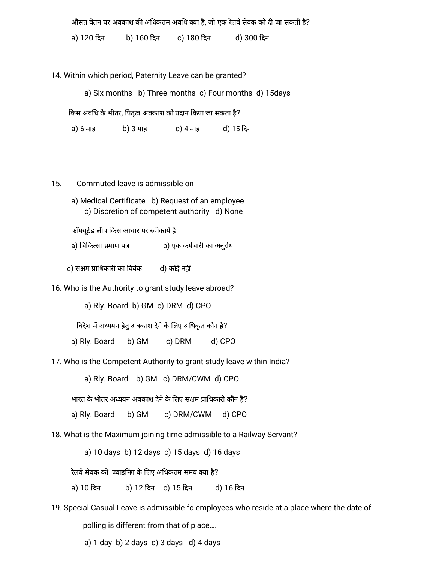औसत वेतन पर अवकाश की अधिकतम अवधि क्या है, जो एक रेलवे सेवक को दी जा सकती है?

a) 120 दन b) 160 दन c) 180 दन d) 300 दन

14. Within which period, Paternity Leave can be granted?

a) Six months b) Three months c) Four months d) 15days

किस अवधि के भीतर, पितृत्व अवकाश को प्रदान किया जा सकता है?

a) 6 माह b) 3 माह c) 4 माह d) 15 दन

- 15. Commuted leave is admissible on
	- a) Medical Certificate b) Request of an employee c) Discretion of competent authority d) None

कॉमयूटेड लीव किस आधार पर स्वीकार्य है

a) चिकित्सा प्रमाण पत्र b) एक कर्मचारी का अनुरोध

c) सक्षम प्राधिकारी का विवेक d) कोई नहीं

16. Who is the Authority to grant study leave abroad?

a) Rly. Board b) GM c) DRM d) CPO

विदेश में अध्ययन हेतु अवकाश देने के लिए अधिकृत कौन है?

a) Rly. Board b) GM c) DRM d) CPO

17. Who is the Competent Authority to grant study leave within India?

a) Rly. Board b) GM c) DRM/CWM d) CPO

भारत के भीतर अध्ययन अवकाश देने के लिए सक्षम प्राधिकारी कौन है?

a) Rly. Board b) GM c) DRM/CWM d) CPO

18. What is the Maximum joining time admissible to a Railway Servant?

a) 10 days b) 12 days c) 15 days d) 16 days

रेलवे सेवक को ज्वाइनिंग के लिए अधिकतम समय क्या है?

- a) 10 दन b) 12 दन c) 15 दन d) 16 दन
- 19. Special Casual Leave is admissible fo employees who reside at a place where the date of polling is different from that of place….

a)  $1$  day b)  $2$  days c)  $3$  days d)  $4$  days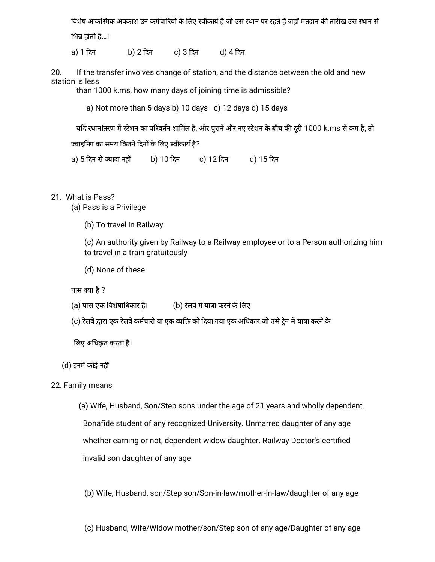विशेष आकस्मिक अवकाश उन कर्मचारियों के लिए स्वीकार्य है जो उस स्थान पर रहते हैं जहाँ मतदान की तारीख उस स्थान से भिन्न होती है…।

a) 1 दन b) 2 दन c) 3 दन d) 4 दन

20. If the transfer involves change of station, and the distance between the old and new station is less

than 1000 k.ms, how many days of joining time is admissible?

a) Not more than 5 days b) 10 days c) 12 days d) 15 days

यदि स्थानांतरण में स्टेशन का परिवर्तन शामिल है, और पुराने और नए स्टेशन के बीच की दूरी 1000 k.ms से कम है, तो

ज्वाइनिंग का समय कितने दिनों के लिए स्वीकार्य है?

a) 5 दिन से ज्यादा नहीं b) 10 दिन c) 12 दिन d) 15 दिन

21. What is Pass?

(a) Pass is a Privilege

(b) To travel in Railway

(c) An authority given by Railway to a Railway employee or to a Person authorizing him to travel in a train gratuitously

(d) None of these

पास क्या है ?

- (a) पास एक विशेषाधिकार है। (b) रेलवे में यात्रा करने के लिए
- (c) रेलवे द्वारा एक रेलवे कर्मचारी या एक व्यक्ति को दिया गया एक अधिकार जो उसे ट्रेन में यात्रा करने के

लए अधकृत करता है।

(d) इनमें कोई नहीं

22. Family means

(a) Wife, Husband, Son/Step sons under the age of 21 years and wholly dependent.

Bonafide student of any recognized University. Unmarred daughter of any age whether earning or not, dependent widow daughter. Railway Doctor's certified invalid son daughter of any age

(b) Wife, Husband, son/Step son/Son-in-law/mother-in-law/daughter of any age

(c) Husband, Wife/Widow mother/son/Step son of any age/Daughter of any age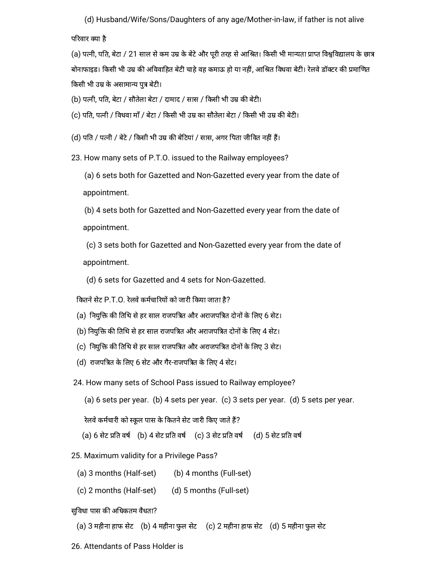(d) Husband/Wife/Sons/Daughters of any age/Mother-in-law, if father is not alive

परवार या है

(a) पत्नी, पति, बेटा / 21 साल से कम उम्र के बेटे और पूरी तरह से आश्रित। किसी भी मान्यता प्राप्त विश्वविद्यालय के छात्र बोनाफाइड। किसी भी उम्र की अविवाहित बेटी चाहे वह कमाऊ हो या नहीं, आश्रित विधवा बेटी। रेलवे डॉक्टर की प्रमाणित किसी भी उम्र के असामान्य पुत्र बेटी।

(b) पत्नी, पति, बेटा / सौतेला बेटा / दामाद / सास / किसी भी उम्र की बेटी।

(c) पति, पत्नी / विधवा माँ / बेटा / किसी भी उम्र का सौतेला बेटा / किसी भी उम्र की बेटी।

(d) पति / पत्नी / बेटे / किसी भी उम्र की बेटियां / सास, अगर पिता जीवित नहीं हैं।

23. How many sets of P.T.O. issued to the Railway employees?

(a) 6 sets both for Gazetted and Non-Gazetted every year from the date of appointment.

(b) 4 sets both for Gazetted and Non-Gazetted every year from the date of appointment.

(c) 3 sets both for Gazetted and Non-Gazetted every year from the date of appointment.

(d) 6 sets for Gazetted and 4 sets for Non-Gazetted.

कितने सेट P.T.O. रेलवे कर्मचारियों को जारी किया जाता है?

- (a) नियुक्ति की तिथि से हर साल राजपत्रित और अराजपत्रित दोनों के लिए 6 सेट।
- (b) नियुक्ति की तिथि से हर साल राजपत्रित और अराजपत्रित दोनों के लिए 4 सेट।
- (c) नियुक्ति की तिथि से हर साल राजपत्रित और अराजपत्रित दोनों के लिए 3 सेट।
- (d) राजपत्रित के लिए 6 सेट और गैर-राजपत्रित के लिए 4 सेट।

24. How many sets of School Pass issued to Railway employee?

(a) 6 sets per year. (b) 4 sets per year. (c) 3 sets per year. (d) 5 sets per year.

रेलवे कर्मचारी को स्कूल पास के कितने सेट जारी किए जाते हैं?

- (a) 6 सेट प्रति वर्ष (b) 4 सेट प्रति वर्ष (c) 3 सेट प्रति वर्ष (d) 5 सेट प्रति वर्ष
- 25. Maximum validity for a Privilege Pass?
	- (a) 3 months (Half-set) (b) 4 months (Full-set)
	- $(c)$  2 months (Half-set)  $(d)$  5 months (Full-set)

सुविधा पास की अधिकतम वैधता?

(a) 3 महीना हाफ सटे (b) 4 महीना फुल सटे (c) 2 महीना हाफ सटे (d) 5 महीना फुल सटे

26. Attendants of Pass Holder is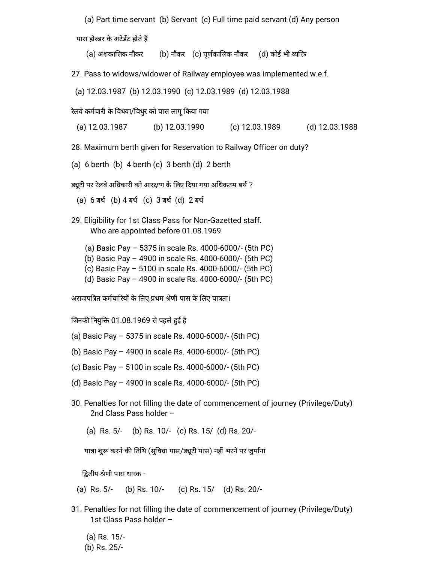(a) Part time servant (b) Servant (c) Full time paid servant (d) Any person

पास होल्डर के अटेंडेंट होते हैं

(a) अंशकालिक नौकर (b) नौकर (c) पूर्णकालिक नौकर (d) कोई भी व्यक्ति

27. Pass to widows/widower of Railway employee was implemented w.e.f.

(a) 12.03.1987 (b) 12.03.1990 (c) 12.03.1989 (d) 12.03.1988

रेलवे कर्मचारी के विधवा/विधुर को पास लागू किया गया

(a) 12.03.1987 (b) 12.03.1990 (c) 12.03.1989 (d) 12.03.1988

28. Maximum berth given for Reservation to Railway Officer on duty?

(a) 6 berth (b) 4 berth (c) 3 berth (d) 2 berth

ड्यूटी पर रेलवे अधिकारी को आरक्षण के लिए दिया गया अधिकतम बर्थ ?

(a) 6 बथ (b) 4 बथ (c) 3 बथ (d) 2 बथ

- 29. Eligibility for 1st Class Pass for Non-Gazetted staff. Who are appointed before 01.08.1969
	- (a) Basic Pay 5375 in scale Rs. 4000-6000/- (5th PC)
	- (b) Basic Pay 4900 in scale Rs. 4000-6000/- (5th PC)
	- (c) Basic Pay 5100 in scale Rs. 4000-6000/- (5th PC)
	- (d) Basic Pay 4900 in scale Rs. 4000-6000/- (5th PC)

अराजपत्रित कर्मचारियों के लिए प्रथम श्रेणी पास के लिए पात्रता।

जिनकी नियुक्ति 01.08.1969 से पहले हुई है

- (a) Basic Pay 5375 in scale Rs. 4000-6000/- (5th PC)
- (b) Basic Pay 4900 in scale Rs. 4000-6000/- (5th PC)
- (c) Basic Pay 5100 in scale Rs. 4000-6000/- (5th PC)
- (d) Basic Pay 4900 in scale Rs. 4000-6000/- (5th PC)
- 30. Penalties for not filling the date of commencement of journey (Privilege/Duty) 2nd Class Pass holder –

(a) Rs. 5/- (b) Rs. 10/- (c) Rs. 15/ (d) Rs. 20/-

यात्रा शुरू करने की तिथि (सुविधा पास/ड्यूटी पास) नहीं भरने पर जुर्माना

द्वितीय श्रेणी पास धारक -

(a) Rs. 5/- (b) Rs. 10/- (c) Rs. 15/ (d) Rs. 20/-

- 31. Penalties for not filling the date of commencement of journey (Privilege/Duty) 1st Class Pass holder –
	- (a) Rs. 15/- (b) Rs. 25/-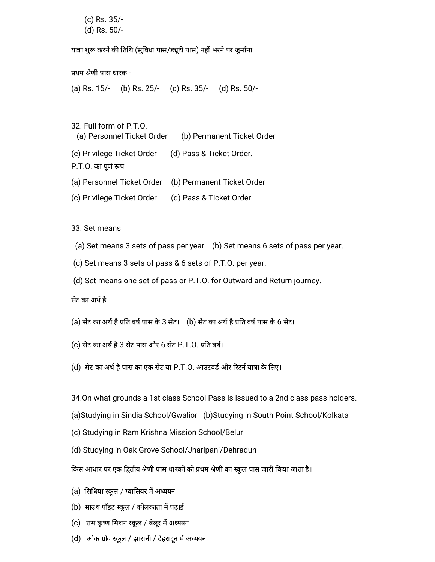(c) Rs. 35/- (d) Rs. 50/-

यात्रा शुरू करने की तिथि (सुविधा पास/ड्यूटी पास) नहीं भरने पर जुर्माना

प्रथम श्रेणी पास धारक -

(a) Rs. 15/- (b) Rs. 25/- (c) Rs. 35/- (d) Rs. 50/-

32. Full form of P.T.O.

(a) Personnel Ticket Order (b) Permanent Ticket Order

(c) Privilege Ticket Order (d) Pass & Ticket Order.

P.T.O. का पूर्ण रूप

- (a) Personnel Ticket Order (b) Permanent Ticket Order
- (c) Privilege Ticket Order (d) Pass & Ticket Order.

33. Set means

- (a) Set means 3 sets of pass per year. (b) Set means 6 sets of pass per year.
- (c) Set means 3 sets of pass & 6 sets of P.T.O. per year.
- (d) Set means one set of pass or P.T.O. for Outward and Return journey.

सेट का अर्थ है

- (a) सेट का अर्थ है प्रति वर्ष पास के 3 सेट। (b) सेट का अर्थ है प्रति वर्ष पास के 6 सेट।
- (c) सेट का अर्थ है 3 सेट पास और 6 सेट P.T.O. प्रति वर्ष।
- (d) सेट का अर्थ है पास का एक सेट या P.T.O. आउटवर्ड और रिटर्न यात्रा के लिए।

34.On what grounds a 1st class School Pass is issued to a 2nd class pass holders.

- (a)Studying in Sindia School/Gwalior (b)Studying in South Point School/Kolkata
- (c) Studying in Ram Krishna Mission School/Belur
- (d) Studying in Oak Grove School/Jharipani/Dehradun
- किस आधार पर एक द्वितीय श्रेणी पास धारकों को प्रथम श्रेणी का स्कूल पास जारी किया जाता है।
- (a) सिंधिया स्कूल / ग्वालियर में अध्ययन
- (b) साउथ पॉइंट स्कूल / कोलकाता में पढ़ाई
- (c) राम कृष्ण मिशन स्कूल / बेलूर में अध्ययन
- (d) ओक ग्रोव स्कूल / झारानी / देहरादून में अध्ययन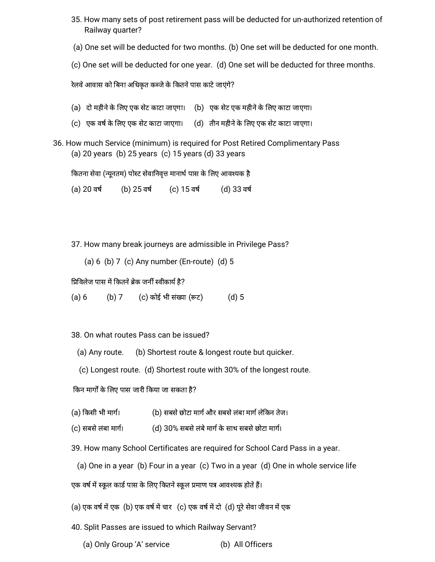- 35. How many sets of post retirement pass will be deducted for un-authorized retention of Railway quarter?
- (a) One set will be deducted for two months. (b) One set will be deducted for one month.
- (c) One set will be deducted for one year. (d) One set will be deducted for three months.

रेलवे आवास को बिना अधिकृत कब्जे के कितने पास काटे जाएंगे?

- (a) दो महीनेके लए एक सटे काटा जाएगा। (b) एक सटे एक महीनेके लए काटा जाएगा।
- (c) एक वर्ष के लिए एक सेट काटा जाएगा। (d) तीन महीने के लिए एक सेट काटा जाएगा।
- 36. How much Service (minimum) is required for Post Retired Complimentary Pass (a) 20 years (b) 25 years (c) 15 years (d) 33 years

कितना सेवा (न्यूनतम) पोस्ट सेवानिवृत्त मानार्थ पास के लिए आवश्यक है

(a) 20 वर्ष (b) 25 वर्ष (c) 15 वर्ष (d) 33 वर्ष

37. How many break journeys are admissible in Privilege Pass?

(a) 6 (b) 7 (c) Any number (En-route) (d) 5

प्रिविलेज पास में कितने ब्रेक जर्नी स्वीकार्य है?

(a) 6 (b) 7 (c) कोई भी संख्या (रूट) (d) 5

38. On what routes Pass can be issued?

- (a) Any route. (b) Shortest route & longest route but quicker.
- (c) Longest route. (d) Shortest route with 30% of the longest route.

किन मार्गों के लिए पास जारी किया जा सकता है?

- (a) किसी भी मार्ग। (b) सबसे छोटा मार्ग और सबसे लंबा मार्ग लेकिन तेज।
- (c) सबसे लंबा मार्ग। (d) 30% सबसे लंबे मार्ग के साथ सबसे छोटा मार्ग।

39. How many School Certificates are required for School Card Pass in a year.

(a) One in a year (b) Four in a year (c) Two in a year (d) One in whole service life

एक वर्ष में स्कूल कार्ड पास के लिए कितने स्कूल प्रमाण पत्र आवश्यक होते हैं।

- (a) एक वर्ष में एक (b) एक वर्ष में चार (c) एक वर्ष में दो (d) पूरे सेवा जीवन में एक
- 40. Split Passes are issued to which Railway Servant?
	- (a) Only Group 'A' service (b) All Officers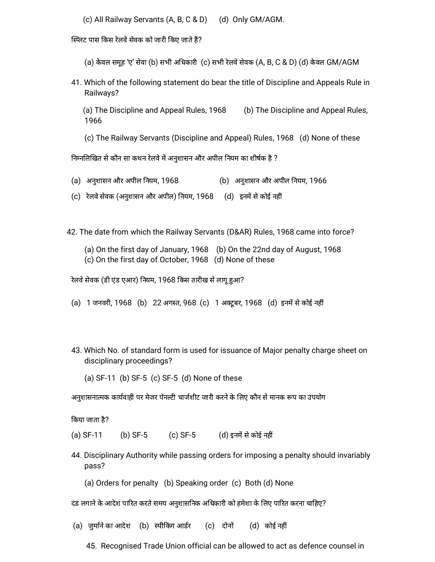(c) All Railway Servants (A, B, C & D) (d) Only GM/AGM.

स्प्लिट पास किस रेलवे सेवक को जारी किए जाते हैं?

(a) केवल समूह 'ए' सेवा (b) सभी अधिकारी (c) सभी रेलवे सेवक (A, B, C & D) (d) केवल GM/AGM

41. Which of the following statement do bear the title of Discipline and Appeals Rule in Railways?

(a) The Discipline and Appeal Rules, 1968 (b) The Discipline and Appeal Rules, 1966

(c) The Railway Servants (Discipline and Appeal) Rules, 1968 (d) None of these

निम्नलिखित से कौन सा कथन रेलवे में अनुशासन और अपील नियम का शीर्षक है ?

- (a) अनशु ासन और अपील नयम, 1968 (b) अनशु ासन और अपील नयम, 1966
- (c) रेलवे सेवक (अनुशासन और अपील) नियम, 1968 (d) इनमें से कोई नहीं

42. The date from which the Railway Servants (D&AR) Rules, 1968 came into force?

(a) On the first day of January, 1968 (b) On the 22nd day of August, 1968 (c) On the first day of October, 1968 (d) None of these

रेलवे सेवक (डी एंड एआर) नियम, 1968 किस तारीख से लागू हुआ?

- (a) 1 जनवरी, 1968 (b) 22 अगस्त, 968 (c) 1 अक्टूबर, 1968 (d) इनमें से कोई नहीं
- 43. Which No. of standard form is used for issuance of Major penalty charge sheet on disciplinary proceedings?

(a) SF-11 (b) SF-5 (c) SF-5 (d) None of these

अनुशासनात्मक कार्यवाही पर मेजर पेनल्टी चार्जशीट जारी करने के लिए कौन से मानक रूप का उपयोग

कया जाता है?

(a) SF-11 (b) SF-5 (c) SF-5 (d) इनमें से कोई नहीं

44. Disciplinary Authority while passing orders for imposing a penalty should invariably pass?

(a) Orders for penalty (b) Speaking order (c) Both (d) None

दंड लगाने के आदेश पारित करते समय अनुशासनिक अधिकारी को हमेशा के लिए पारित करना चाहिए?

(a) जुर्माने का आदेश (b) स्पीकिंग आर्डर (c) दोनों (d) कोई नहीं

45. Recognised Trade Union official can be allowed to act as defence counsel in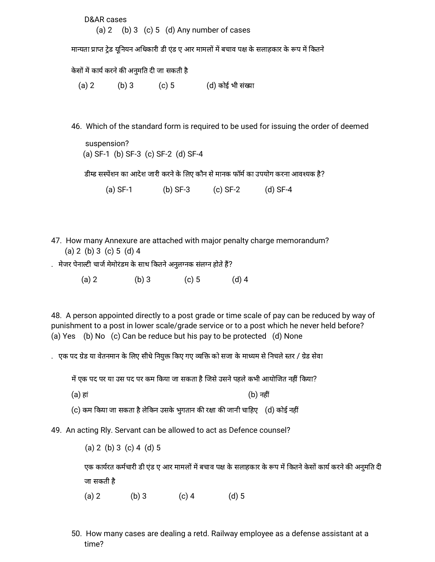D&AR cases (a)  $2$  (b)  $3$  (c)  $5$  (d) Any number of cases

मान्यता प्राप्त टेड यूनियन अधिकारी डी एंड ए आर मामलों में बचाव पक्ष के सलाहकार के रूप में कितने

केसों में कार्य करने की अनुमति दी जा सकती है

(a) 2 (b) 3 (c) 5 (d) कोई भी संख्या

46. Which of the standard form is required to be used for issuing the order of deemed

suspension? (a) SF-1 (b) SF-3 (c) SF-2 (d) SF-4

डीम्ड सस्पेंशन का आदेश जारी करने के लिए कौन से मानक फॉर्म का उपयोग करना आवश्यक है?

(a) SF-1 (b) SF-3 (c) SF-2 (d) SF-4

- 47. How many Annexure are attached with major penalty charge memorandum? (a) 2 (b) 3 (c) 5 (d) 4
- . मेजर पेनाल्टी चार्ज मेमोरंडम के साथ कितने अनुलग्नक संलग्न होते हैं?
	- (a) 2 (b) 3 (c) 5 (d) 4

48. A person appointed directly to a post grade or time scale of pay can be reduced by way of punishment to a post in lower scale/grade service or to a post which he never held before? (a) Yes (b) No (c) Can be reduce but his pay to be protected (d) None

. एक पद ग्रेड या वेतनमान के लिए सीधे नियुक्त किए गए व्यक्ति को सजा के माध्यम से निचले स्तर / ग्रेड सेवा

में एक पद पर या उस पद पर कम किया जा सकता है जिसे उसने पहले कभी आयोजित नहीं किया?

(a) हां (b) नह

(c) कम किया जा सकता है लेकिन उसके भुगतान की रक्षा की जानी चाहिए  $\,$  (d) कोई नहीं

49. An acting Rly. Servant can be allowed to act as Defence counsel?

(a) 2 (b) 3 (c) 4 (d) 5

एक कार्यरत कर्मचारी डी एंड ए आर मामलों में बचाव पक्ष के सलाहकार के रूप में कितने केसों कार्य करने की अनुमति दी जा सकती है

(a) 2 (b) 3 (c) 4 (d) 5

50. How many cases are dealing a retd. Railway employee as a defense assistant at a time?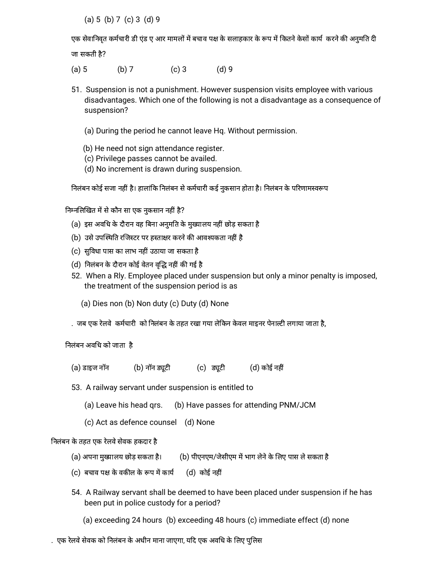(a) 5 (b) 7 (c) 3 (d) 9

एक सेवानिवृत कर्मचारी डी एंड ए आर मामलों में बचाव पक्ष के सलाहकार के रूप में कितने केसों कार्य करने की अनुमति दी जा सकती है?

- (a) 5 (b) 7 (c) 3 (d) 9
- 51. Suspension is not a punishment. However suspension visits employee with various disadvantages. Which one of the following is not a disadvantage as a consequence of suspension?
	- (a) During the period he cannot leave Hq. Without permission.
	- (b) He need not sign attendance register.
	- (c) Privilege passes cannot be availed.
	- (d) No increment is drawn during suspension.

निलंबन कोई सजा नहीं है। हालांकि निलंबन से कर्मचारी कई नुकसान होता है। निलंबन के परिणामस्वरूप

निम्नलिखित में से कौन सा एक नुकसान नहीं है?

- (a) इस अवधि के दौरान वह बिना अनुमति के मुख्यालय नहीं छोड़ सकता है
- (b) उसे उपस्थिति रजिस्टर पर हस्ताक्षर करने की आवश्यकता नहीं है
- (c) सुविधा पास का लाभ नहीं उठाया जा सकता है
- (d) निलंबन के दौरान कोई वेतन वृद्धि नहीं की गई है
- 52. When a Rly. Employee placed under suspension but only a minor penalty is imposed, the treatment of the suspension period is as
	- (a) Dies non (b) Non duty (c) Duty (d) None
- . जब एक रेलवे कर्मचारी को निलंबन के तहत रखा गया लेकिन केवल माइनर पेनाल्टी लगाया जाता है,

निलंबन अवधि को जाता है

- $(a)$  डाइज नॉन  $(b)$  नॉन ड्यूटी  $(c)$  ड्यूटी  $(d)$  कोई नहीं
- 53. A railway servant under suspension is entitled to
	- (a) Leave his head qrs. (b) Have passes for attending PNM/JCM
	- (c) Act as defence counsel (d) None

निलंबन के तहत एक रेलवे सेवक हकदार है

- (a) अपना मुख्यालय छोड़ सकता है। (b) पीएनएम/जेसीएम में भाग लेने के लिए पास ले सकता है
- (c) बचाव पक्ष के वकील के रूप में कार्य  $\qquad$  (d) कोई नहीं
- 54. A Railway servant shall be deemed to have been placed under suspension if he has been put in police custody for a period?
	- (a) exceeding 24 hours (b) exceeding 48 hours (c) immediate effect (d) none
- . एक रेलवे सेवक को निलंबन के अधीन माना जाएगा, यदि एक अवधि के लिए पुलिस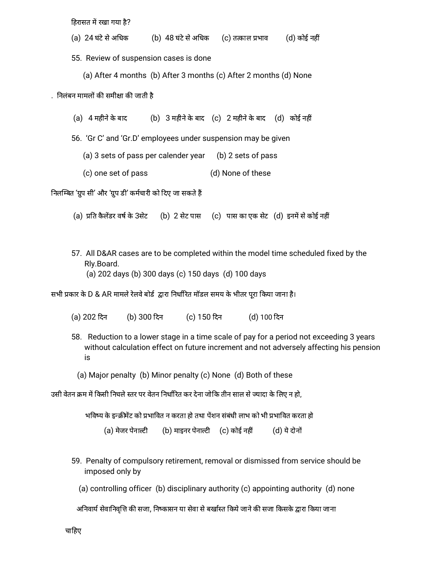हिरासत में रखा गया है?

(a) 24 घंटे से अधिक (b) 48 घंटे से अधिक (c) तत्काल प्रभाव (d) कोई नहीं

55. Review of suspension cases is done

(a) After 4 months (b) After 3 months (c) After 2 months (d) None

. निलंबन मामलों की समीक्षा की जाती है

(a) 4 महीनेके बाद (b) 3 महीनेके बाद (c) 2 महीनेके बाद (d) कोई नह

56. 'Gr C' and 'Gr.D' employees under suspension may be given

(a) 3 sets of pass per calender year (b) 2 sets of pass

(c) one set of pass (d) None of these

निलम्बित 'ग्रुप सी' और 'ग्रुप डी' कर्मचारी को दिए जा सकते हैं

- (a) प्रति कैलेंडर वर्ष के 3सेट (b) 2 सेट पास (c) पास का एक सेट (d) इनमें से कोई नहीं
- 57. All D&AR cases are to be completed within the model time scheduled fixed by the Rly.Board. (a) 202 days (b) 300 days (c) 150 days (d) 100 days

सभी प्रकार के D & AR मामले रेलवे बोर्ड द्वारा निर्धारित मॉडल समय के भीतर पूरा किया जाना है।

- (a) 202 दन (b) 300 दन (c) 150 दन (d) 100 दन
- 58. Reduction to a lower stage in a time scale of pay for a period not exceeding 3 years without calculation effect on future increment and not adversely affecting his pension is
	- (a) Major penalty (b) Minor penalty (c) None (d) Both of these

उसी वेतन क्रम में किसी निचले स्तर पर वेतन निर्धारित कर देना जोकि तीन साल से ज्यादा के लिए न हो,

भविष्य के इन्क्रीमेंट को प्रभावित न करता हो तथा पेंशन संबंधी लाभ को भी प्रभावित करता हो

- (a) मेजर पेनाल्टी (b) माइनर पेनाल्टी (c) कोई नहीं (d) ये दोनों
- 59. Penalty of compulsory retirement, removal or dismissed from service should be imposed only by
	- (a) controlling officer (b) disciplinary authority (c) appointing authority (d) none

अनिवार्य सेवानिवृत्ति की सजा, निष्कासन या सेवा से बर्खास्त किये जाने की सजा किसके द्वारा किया जाना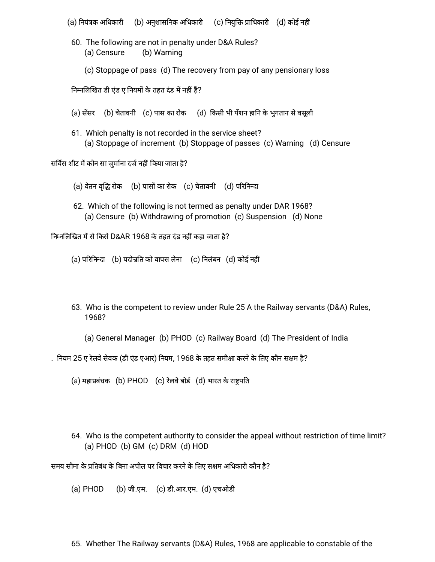(a) नियंत्रक अधिकारी (b) अनुशासनिक अधिकारी (c) नियुक्ति प्राधिकारी (d) कोई नहीं

- 60. The following are not in penalty under D&A Rules? (a) Censure (b) Warning
	- (c) Stoppage of pass (d) The recovery from pay of any pensionary loss

निम्नलिखित डी एंड ए नियमों के तहत दंड में नहीं हैं?

- (a) सेंसर (b) चेतावनी (c) पास का रोक (d) किसी भी पेंशन हानि के भुगतान से वसूली
- 61. Which penalty is not recorded in the service sheet? (a) Stoppage of increment (b) Stoppage of passes (c) Warning (d) Censure

सर्विस शीट में कौन सा जुर्माना दर्ज नहीं किया जाता है?

- (a) वेतन वृद्धि रोक (b) पासों का रोक (c) चेतावनी (d) परिनिन्दा
- 62. Which of the following is not termed as penalty under DAR 1968? (a) Censure (b) Withdrawing of promotion (c) Suspension (d) None

निम्नलिखित में से किसे D&AR 1968 के तहत दंड नहीं कहा जाता है?

(a) परिनिन्दा (b) पदोन्नति को वापस लेना (c) निलंबन (d) कोई नहीं

- 63. Who is the competent to review under Rule 25 A the Railway servants (D&A) Rules, 1968?
	- (a) General Manager (b) PHOD (c) Railway Board (d) The President of India
- . नियम 25 ए रेलवे सेवक (डी एंड एआर) नियम, 1968 के तहत समीक्षा करने के लिए कौन सक्षम है?

(a) महाप्रबंधक (b) PHOD (c) रेलवे बोर्ड (d) भारत के राष्ट्रपति

64. Who is the competent authority to consider the appeal without restriction of time limit? (a) PHOD (b) GM (c) DRM (d) HOD

समय सीमा के प्रतिबंध के बिना अपील पर विचार करने के लिए सक्षम अधिकारी कौन है?

(a) PHOD (b) जी.एम. (c) डी.आर.एम. (d) एचओडी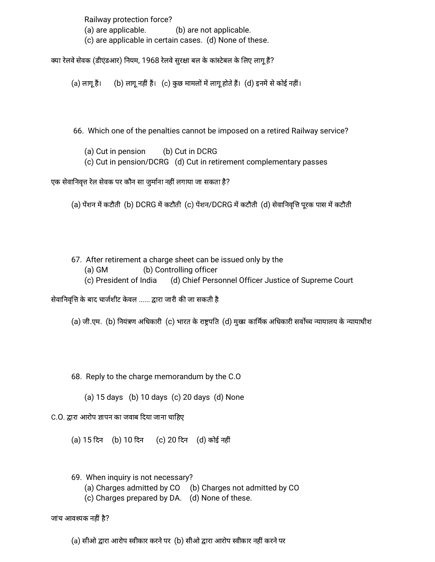Railway protection force? (a) are applicable. (b) are not applicable. (c) are applicable in certain cases. (d) None of these.

क्या रेलवे सेवक (डीएंडआर) नियम, 1968 रेलवे सुरक्षा बल के कांस्टेबल के लिए लागू हैं?

 $(a)$  लागू हैं।  $(b)$  लागू नहीं हैं।  $(c)$  कुछ मामलों में लागू होते हैं।  $(d)$  इनमें से कोई नहीं।

66. Which one of the penalties cannot be imposed on a retired Railway service?

(a) Cut in pension (b) Cut in DCRG

(c) Cut in pension/DCRG (d) Cut in retirement complementary passes

एक सेवानिवृत्त रेल सेवक पर कौन सा जुर्माना नहीं लगाया जा सकता है?

(a) पेंशन में कटौती (b) DCRG में कटौती (c) पेंशन/DCRG में कटौती (d) सेवानिवृत्ति पूरक पास में कटौती

- 67. After retirement a charge sheet can be issued only by the
	- (a) GM (b) Controlling officer
	- (c) President of India (d) Chief Personnel Officer Justice of Supreme Court

सेवानिवृत्ति के बाद चार्जशीट केवल ...... द्वारा जारी की जा सकती है

(a) जी.एम. (b) नियंत्रण अधिकारी (c) भारत के राष्ट्रपति (d) मुख्य कार्मिक अधिकारी सर्वोच्च न्यायालय के न्यायाधीश

68. Reply to the charge memorandum by the C.O

(a) 15 days (b) 10 days (c) 20 days (d) None

C.O. द्वारा आरोप ज्ञापन का जवाब दिया जाना चाहिए

(a) 15 दन (b) 10 दन (c) 20 दन (d) कोई नह

69. When inquiry is not necessary?

(a) Charges admitted by CO (b) Charges not admitted by CO

(c) Charges prepared by DA. (d) None of these.

जांच आवश्यक नहीं है?

(a) सीओ द्वारा आरोप स्वीकार करने पर (b) सीओ द्वारा आरोप स्वीकार नहीं करने पर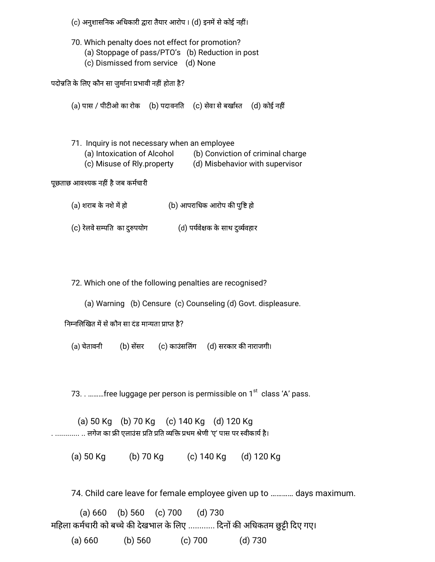(c) अनुशासनिक अधिकारी द्वारा तैयार आरोप । (d) इनमें से कोई नहीं।

70. Which penalty does not effect for promotion? (a) Stoppage of pass/PTO's (b) Reduction in post (c) Dismissed from service (d) None

पदोन्नति के लिए कौन सा जुर्माना प्रभावी नहीं होता है?

(a) पास / पीटीओ का रोक (b) पदावनति (c) सेवा से बर्खास्त (d) कोई नहीं

71. Inquiry is not necessary when an employee (a) Intoxication of Alcohol (b) Conviction of criminal charge (c) Misuse of Rly.property (d) Misbehavior with supervisor

पूछताछ आवश्यक नहीं है जब कर्मचारी

- (a) शराब के नशे में हो  $\qquad \qquad$  (b) आपराधिक आरोप की पुष्टि हो
- (c) रेलवे सम्पति का दुरुपयोग (d) पर्यवेक्षक के साथ दुर्व्यवहार

72. Which one of the following penalties are recognised?

(a) Warning (b) Censure (c) Counseling (d) Govt. displeasure.

निम्नलिखित में से कौन सा दंड मान्यता प्राप्त है?

(a) चेतावनी (b) सेंसर (c) काउंसलिंग (d) सरकार की नाराजगी।

73. . .........free luggage per person is permissible on 1<sup>st</sup> class 'A' pass.

(a) 50 Kg (b) 70 Kg (c) 140 Kg (d) 120 Kg . ............ .. लगेज का फ्री एलाउंस प्रति प्रति व्यक्ति प्रथम श्रेणी 'ए' पास पर स्वीकार्य है।

(a) 50 Kg (b) 70 Kg (c) 140 Kg (d) 120 Kg

74. Child care leave for female employee given up to ………… days maximum.

(a) 660 (b) 560 (c) 700 (d) 730 महिला कर्मचारी को बच्चे की देखभाल के लिए ............ दिनों की अधिकतम छुट्टी दिए गए। (a) 660 (b) 560 (c) 700 (d) 730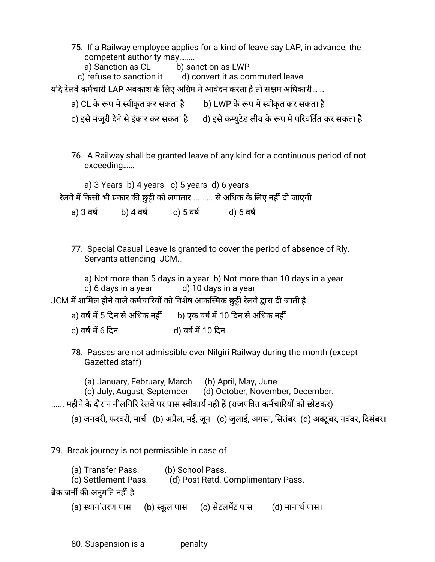75. If a Railway employee applies for a kind of leave say LAP, in advance, the competent authority may……..

a) Sanction as CL b) sanction as LWP

c) refuse to sanction it d) convert it as commuted leave

यदि रेलवे कर्मचारी LAP अवकाश के लिए अग्रिम में आवेदन करता है तो सक्षम अधिकारी… ..

- a) CL के रूप में स्वीकृत कर सकता है b) LWP के रूप में स्वीकृत कर सकता है
- c) इसे मंजुरी देने से इंकार कर सकता है d) इसे कम्युटेड लीव के रूप में परिवर्तित कर सकता है
- 76. A Railway shall be granted leave of any kind for a continuous period of not exceeding……

a) 3 Years b) 4 years c) 5 years d) 6 years

. रेलवे में किसी भी प्रकार की छुट्टी को लगातार ......... से अधिक के लिए नहीं दी जाएगी

- a) 3 वर्ष b) 4 वर्ष c) 5 वर्ष d) 6 वर्ष
- 77. Special Casual Leave is granted to cover the period of absence of Rly. Servants attending JCM…

a) Not more than 5 days in a year b) Not more than 10 days in a year c)  $6$  days in a year d)  $10$  days in a year

JCM में शामिल होने वाले कर्मचारियों को विशेष आकस्मिक छुट्टी रेलवे द्वारा दी जाती है

- a) वर्ष में 5 दिन से अधिक नहीं b) एक वर्ष में 10 दिन से अधिक नहीं
- c) वर्ष में 6 दिन d) वर्ष में 10 दिन
- 78. Passes are not admissible over Nilgiri Railway during the month (except Gazetted staff)

(a) January, February, March (b) April, May, June

(c) July, August, September (d) October, November, December.

...... महीने के दौरान नीलगिरि रेलवे पर पास स्वीकार्य नहीं हैं (राजपत्रित कर्मचारियों को छोड़कर)

(a) जनवरी, फरवरी, मार्च (b) अप्रैल, मई, जून (c) जुलाई, अगस्त, सितंबर (d) अक्टूबर, नवंबर, दिसंबर।

79. Break journey is not permissible in case of

| (a) Transfer Pass.            | (b) School Pass.                   |
|-------------------------------|------------------------------------|
| (c) Settlement Pass.          | (d) Post Retd. Complimentary Pass. |
| ब्रेक जर्नी की अनुमति नहीं है |                                    |

(a) स्थानांतरण पास (b) स्कूल पास (c) सेटलमेंट पास (d) मानार्थ पास।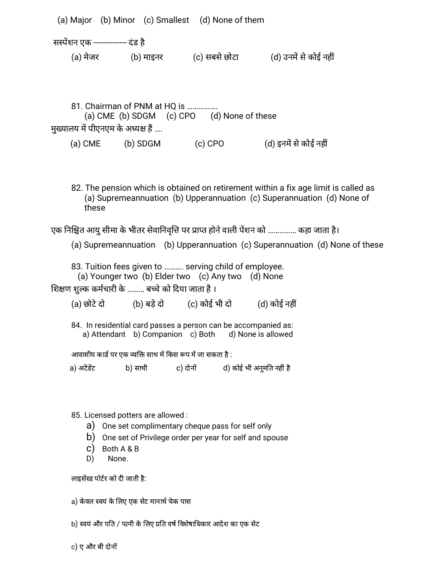(a) Major (b) Minor (c) Smallest (d) None of them सस्पेंशन एक -------------- दंड है (a) मेजर (b) माइनर (c) सबसे छोटा (d) उनमें से कोई नहीं

81. Chairman of PNM at HO is ............... (a) CME (b) SDGM (c) CPO (d) None of these मुख्यालय में पीएनएम के अध्यक्ष हैं ....

(a)  $CME$  (b) SDGM (c)  $CPO$  (d) इनमें से कोई नहीं

82. The pension which is obtained on retirement within a fix age limit is called as (a) Supremeannuation (b) Upperannuation (c) Superannuation (d) None of these

एक निश्चित आयु सीमा के भीतर सेवानिवृत्ति पर प्राप्त होने वाली पेंशन को …………… कहा जाता है।

(a) Supremeannuation (b) Upperannuation (c) Superannuation (d) None of these

83. Tuition fees given to ………. serving child of employee. (a) Younger two (b) Elder two (c) Any two (d) None

शिक्षण शल्क कर्मचारी के ……… बच्चे को दिया जाता है ।

 $(a)$  छोटे दो  $(b)$  बडे दो  $(c)$  कोई भी दो  $(d)$  कोई नहीं

84. In residential card passes a person can be accompanied as: a) Attendant b) Companion c) Both d) None is allowed

आवासीय कार्ड पर एक व्यक्ति साथ में किस रूप में जा सकता है :

a) अटेंडेंट b) साथी c) दोनों d) कोई भी अनुमति नहीं है

85. Licensed potters are allowed :

- a) One set complimentary cheque pass for self only
- b) One set of Privilege order per year for self and spouse
- c) Both A & B
- D) None.

लाइसेंस्ड पोर्टर को दी जाती है:

a) केवल स्वयं के लिए एक सेट मानार्थ चेक पास

b) स्वयं और पति / पत्नी के लिए प्रति वर्ष विशेषाधिकार आदेश का एक सेट

c) ए और बी दोन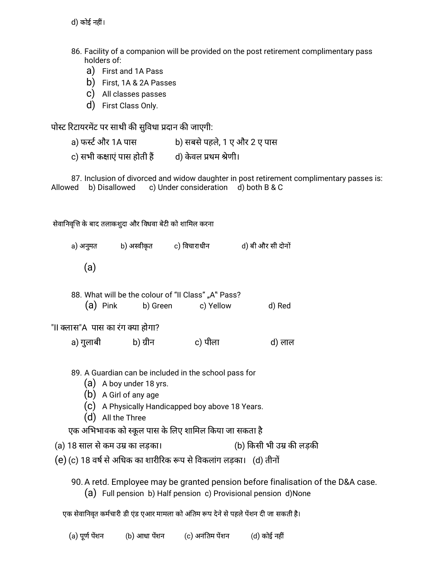d) कोई नहीं।

- 86. Facility of a companion will be provided on the post retirement complimentary pass holders of:
	- a) First and 1A Pass
	- b) First, 1A & 2A Passes
	- c) All classes passes
	- d) First Class Only.

पोस्ट रिटायरमेंट पर साथी की सुविधा प्रदान की जाएगी:

a) फर्स्ट और 1A पास b) सबसे पहले, 1 ए और 2 ए पास c) सभी कक्षाएं पास होती हैं and d) केवल प्रथम श्रेणी।

87. Inclusion of divorced and widow daughter in post retirement complimentary passes is: Allowed b) Disallowed c) Under consideration d) both B & C

सेवानिवृत्ति के बाद तलाकशुदा और विधवा बेटी को शामिल करना

a) अनुमत b) अस्वीकृत c) विचाराधीन d) बी और सी दोनों (a) 88. What will be the colour of "II Class" "A" Pass? (a) Pink b) Green c) Yellow d) Red

"II क्लास"A पास का रंग क्या होगा?

a) गुलाबी b) ग्रीन c) पीला d) लाल

89. A Guardian can be included in the school pass for

- (a) A boy under 18 yrs.
- (b) A Girl of any age
- (c) A Physically Handicapped boy above 18 Years.
- (d) All the Three

एक अभिभावक को स्कूल पास के लिए शामिल किया जा सकता है

(a) 18 साल से कम उम्र का लड़का। (b) किसी भी उम्र की लड़की

(e) (c) 18 वर्ष से अधिक का शारीरिक रूप से विकलांग लड़का। (d) तीनों

90.A retd. Employee may be granted pension before finalisation of the D&A case. (a) Full pension b) Half pension c) Provisional pension d)None

एक सेवानिवृत कर्मचारी डी एंड एआर मामला को अंतिम रूप देने से पहले पेंशन दी जा सकती है।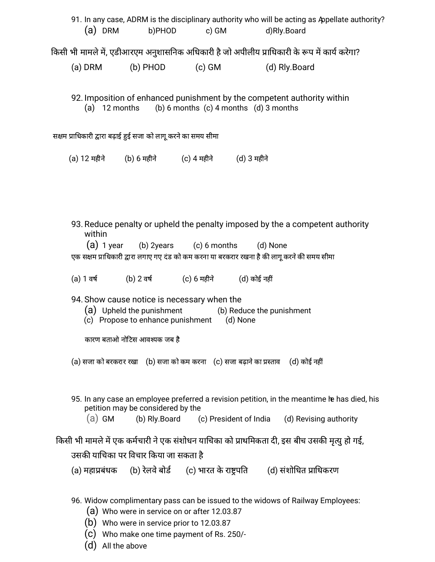|                              |                                                                | (a) DRM b)PHOD c) GM                                                                      | 91. In any case, ADRM is the disciplinary authority who will be acting as Appellate authority?<br>d)Rly.Board                                                                 |  |  |  |  |  |
|------------------------------|----------------------------------------------------------------|-------------------------------------------------------------------------------------------|-------------------------------------------------------------------------------------------------------------------------------------------------------------------------------|--|--|--|--|--|
|                              |                                                                |                                                                                           | किसी भी मामले में, एडीआरएम अनुशासनिक अधिकारी है जो अपीलीय प्राधिकारी के रूप में कार्य करेगा?                                                                                  |  |  |  |  |  |
|                              |                                                                |                                                                                           | (a) DRM (b) PHOD (c) GM (d) Rly.Board                                                                                                                                         |  |  |  |  |  |
|                              |                                                                | (a) $12$ months (b) 6 months (c) 4 months (d) 3 months                                    | 92. Imposition of enhanced punishment by the competent authority within                                                                                                       |  |  |  |  |  |
|                              | सक्षम प्राधिकारी द्वारा बढ़ाई हुई सजा को लागू करने का समय सीमा |                                                                                           |                                                                                                                                                                               |  |  |  |  |  |
|                              |                                                                | (a) 12 महीने (b) 6 महीने (c) 4 महीने (d) 3 महीने                                          |                                                                                                                                                                               |  |  |  |  |  |
|                              |                                                                |                                                                                           |                                                                                                                                                                               |  |  |  |  |  |
|                              |                                                                |                                                                                           |                                                                                                                                                                               |  |  |  |  |  |
| within                       |                                                                | $(a)$ 1 year (b) 2 years (c) 6 months (d) None                                            | 93. Reduce penalty or upheld the penalty imposed by the a competent authority<br>एक सक्षम प्राधिकारी द्वारा लगाए गए दंड को कम करना या बरकरार रखना है की लागू करने की समय सीमा |  |  |  |  |  |
|                              |                                                                | (a) 1 वर्ष (b) 2 वर्ष (c) 6 महीने (d) कोई नहीं                                            |                                                                                                                                                                               |  |  |  |  |  |
|                              |                                                                | 94. Show cause notice is necessary when the<br>(c) Propose to enhance punishment (d) None | (a) Upheld the punishment (b) Reduce the punishment                                                                                                                           |  |  |  |  |  |
| कारण बताओ नोटिस आवश्यक जब है |                                                                |                                                                                           |                                                                                                                                                                               |  |  |  |  |  |
|                              |                                                                |                                                                                           | (a) सजा को बरकरार रखा    (b) सजा को कम करना    (c) सजा बढाने का प्रस्ताव     (d) कोई नहीं                                                                                     |  |  |  |  |  |
| (a) GM                       | petition may be considered by the                              |                                                                                           | 95. In any case an employee preferred a revision petition, in the meantime he has died, his<br>(b) Rly.Board (c) President of India (d) Revising authority                    |  |  |  |  |  |
|                              |                                                                |                                                                                           | किसी भी मामले में एक कर्मचारी ने एक संशोधन याचिका को प्राथमिकता दी, इस बीच उसकी मृत्यु हो गई,                                                                                 |  |  |  |  |  |
|                              | उसकी याचिका पर विचार किया जा सकता है                           |                                                                                           |                                                                                                                                                                               |  |  |  |  |  |
|                              |                                                                |                                                                                           | (a) महाप्रबंधक      (b) रेलवे बोर्ड       (c) भारत के राष्ट्रपति         (d) संशोधित प्राधिकरण                                                                                |  |  |  |  |  |
| (b)<br>$\mathbf{C}$          | Who were in service prior to 12.03.87                          | (a) Who were in service on or after 12.03.87<br>Who make one time payment of Rs. 250/-    | 96. Widow complimentary pass can be issued to the widows of Railway Employees:                                                                                                |  |  |  |  |  |

(d) All the above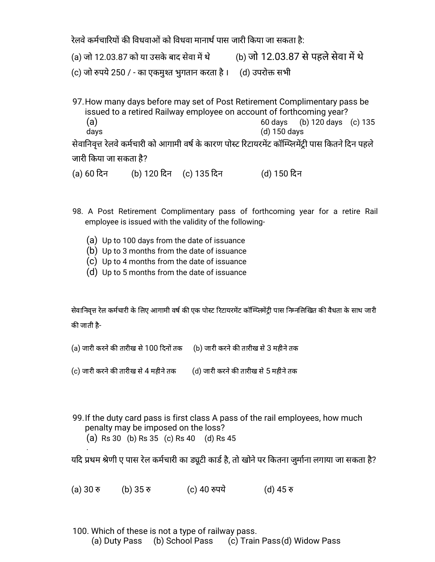रेलवे कर्मचारियों की विधवाओं को विधवा मानार्थ पास जारी किया जा सकता है:

(a) जो 12.03.87 को या उसके बाद सेवा में थे (b) जो 12.03.87 से पहले सेवा में थे

(c) जो रुपये 250 / - का एकमुश्त भुगतान करता है । (d) उपरोक्त सभी

97.How many days before may set of Post Retirement Complimentary pass be issued to a retired Railway employee on account of forthcoming year? (a) 60 days (b) 120 days (c) 135 days (d) 150 days सेवानिवृत्त रेलवे कर्मचारी को आगामी वर्ष के कारण पोस्ट रिटायरमेंट कॉम्प्लिमेंट्री पास कितने दिन पहले

जारी कया जा सकता है?

(a) 60 दन (b) 120 दन (c) 135 दन (d) 150 दन

- 98. A Post Retirement Complimentary pass of forthcoming year for a retire Rail employee is issued with the validity of the following-
	- (a) Up to 100 days from the date of issuance
	- (b) Up to 3 months from the date of issuance
	- (c) Up to 4 months from the date of issuance
	- (d) Up to 5 months from the date of issuance

सेवानिवृत्त रेल कर्मचारी के लिए आगामी वर्ष की एक पोस्ट रिटायरमेंट कॉम्प्लिमेंटी पास निम्नलिखित की वैधता के साथ जारी की जाती है-

(a) जारी करने की तारीख से 100 दिनों तक (b) जारी करने की तारीख से 3 महीने तक

(c) जारी करने की तारीख से 4 महीने तक  $\qquad$  (d) जारी करने की तारीख से 5 महीने तक

99.If the duty card pass is first class A pass of the rail employees, how much penalty may be imposed on the loss?

(a) Rs 30 (b) Rs 35 (c) Rs 40 (d) Rs 45

.

यदि प्रथम श्रेणी ए पास रेल कर्मचारी का ड्यूटी कार्ड है, तो खोने पर कितना जुर्माना लगाया जा सकता है?

(a) 30 रु (b) 35 रु (c) 40 रुपये (d) 45 रु

100. Which of these is not a type of railway pass. (a) Duty Pass (b) School Pass (c) Train Pass(d) Widow Pass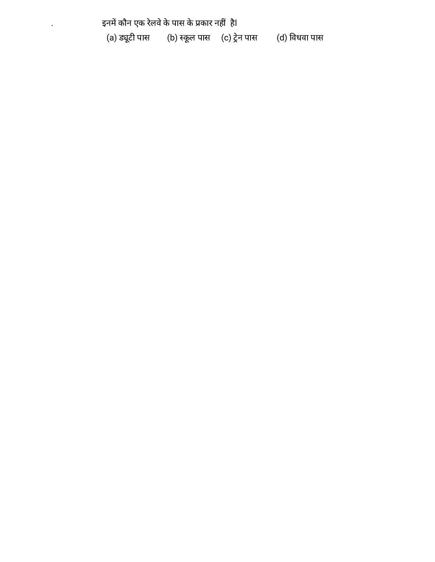इनमें कौन एक रेलवे के पास के प्रकार नहीं हैl (a) ड्यूटी पास (b) स्कूल पास (c) ट्रेन पास (d) विधवा पास

.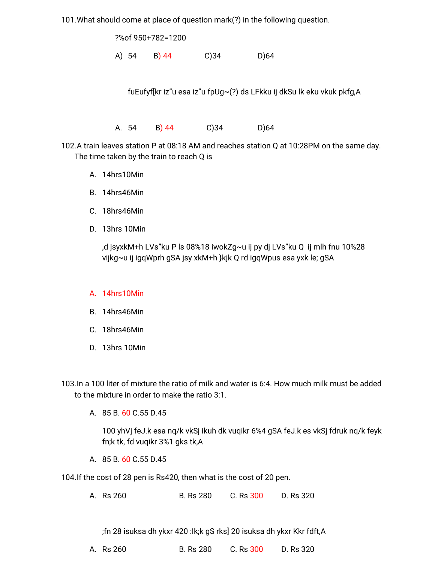101.What should come at place of question mark(?) in the following question.

?%of 950+782=1200

A) 54 B) 44 C)34 D)64

fuEufyf[kr iz"u esa iz"u fpUg~(?) ds LFkku ij dkSu lk eku vkuk pkfg,A

A. 54 B) 44 C)34 D)64

102.A train leaves station P at 08:18 AM and reaches station Q at 10:28PM on the same day. The time taken by the train to reach Q is

- A. 14hrs10Min
- B. 14hrs46Min
- C. 18hrs46Min
- D. 13hrs 10Min

,d jsyxkM+h LVs"ku P ls 08%18 iwokZg~u ij py dj LVs"ku Q ij mlh fnu 10%28 vijkg~u ij igqWprh gSA jsy xkM+h }kjk Q rd igqWpus esa yxk le; gSA

## A. 14hrs10Min

- B. 14hrs46Min
- C. 18hrs46Min
- D. 13hrs 10Min

103.In a 100 liter of mixture the ratio of milk and water is 6:4. How much milk must be added to the mixture in order to make the ratio 3:1.

A. 85 B. 60 C.55 D.45

100 yhVj feJ.k esa nq/k vkSj ikuh dk vuqikr 6%4 gSA feJ.k es vkSj fdruk nq/k feyk fn;k tk, fd vuqikr 3%1 gks tk,A

A. 85 B. 60 C.55 D.45

104.If the cost of 28 pen is Rs420, then what is the cost of 20 pen.

A. Rs 260 B. Rs 280 C. Rs 300 D. Rs 320

;fn 28 isuksa dh ykxr 420 :Ik;k gS rks] 20 isuksa dh ykxr Kkr fdft,A

A. Rs 260 B. Rs 280 C. Rs 300 D. Rs 320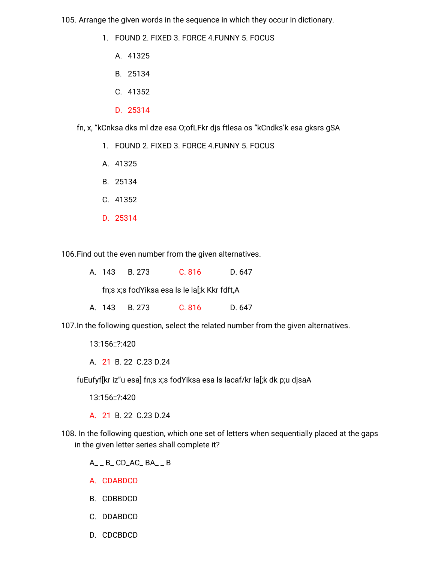105. Arrange the given words in the sequence in which they occur in dictionary.

- 1. FOUND 2. FIXED 3. FORCE 4. FUNNY 5. FOCUS
	- A. 41325
	- B. 25134
	- C. 41352
	- D. 25314

fn, x, "kCnksa dks ml dze esa O;ofLFkr djs ftlesa os "kCndks'k esa gksrs gSA

- 1. FOUND 2. FIXED 3. FORCE 4. FUNNY 5. FOCUS
- A. 41325
- B. 25134
- C. 41352
- D. 25314

106. Find out the even number from the given alternatives.

|  | A. 143 B. 273 | C.816 | D. 647 |
|--|---------------|-------|--------|
|  |               |       |        |

fn;s x;s fodYiksa esa ls le la[;k Kkr fdft,A

A. 143 B. 273 C. 816 D. 647

107. In the following question, select the related number from the given alternatives.

13:156::?:420

A. 21 B. 22 C. 23 D. 24

fuEufyf[kr iz"u esa] fn;s x;s fodYiksa esa ls lacaf/kr la[;k dk p;u djsaA

13:156::?:420

A. 21 B. 22 C. 23 D. 24

108. In the following question, which one set of letters when sequentially placed at the gaps in the given letter series shall complete it?

 $A_ - B_$  CD\_AC\_BA\_  $_B$ 

- A. CDABDCD
- B. CDBBDCD
- C. DDABDCD
- D. CDCBDCD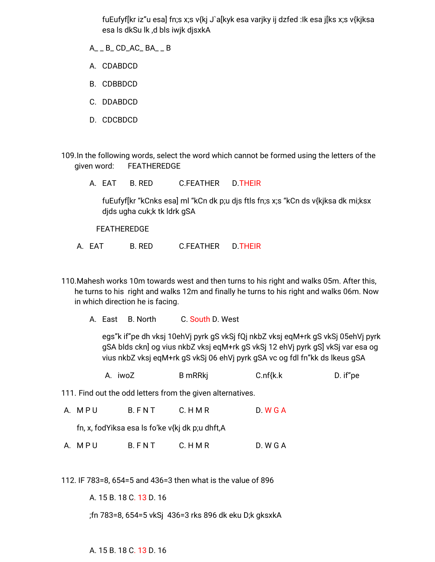fuEufyf[kr iz"u esa] fn;s x;s v{kj J`a[kyk esa varjky ij dzfed :Ik esa j[ks x;s v{kjksa esa ls dkSu lk ,d bls iwjk djsxkA

- A\_ \_ B\_ CD\_AC\_ BA\_ \_ B
- A. CDABDCD
- B. CDBBDCD
- C. DDABDCD
- D. CDCBDCD

109.In the following words, select the word which cannot be formed using the letters of the given word: FEATHEREDGE

A. EAT B. RED C.FEATHER D.THEIR

fuEufyf[kr "kCnks esa] ml "kCn dk p;u djs ftls fn;s x;s "kCn ds v{kjksa dk mi;ksx djds ugha cuk;k tk ldrk gSA

FEATHEREDGE

- A. EAT B. RED C.FEATHER D.THEIR
- 110.Mahesh works 10m towards west and then turns to his right and walks 05m. After this, he turns to his right and walks 12m and finally he turns to his right and walks 06m. Now in which direction he is facing.
	- A. East B. North C. South D. West

egs"k if"pe dh vksj 10ehVj pyrk gS vkSj fQj nkbZ vksj eqM+rk gS vkSj 05ehVj pyrk gSA blds ckn] og vius nkbZ vksj eqM+rk gS vkSj 12 ehVj pyrk gS] vkSj var esa og vius nkbZ vksj eqM+rk gS vkSj 06 ehVj pyrk gSA vc og fdl fn"kk ds lkeus gSA

A. iwoZ B mRRkj C.nf{k.k D. if"pe

111. Find out the odd letters from the given alternatives.

A. M P U B. FN T C. HM R D. W G A

fn, x, fodYiksa esa ls fo'ke v{kj dk p;u dhft,A

A. M P U B. FN T C. HM R D. W G A

112. IF 783=8, 654=5 and 436=3 then what is the value of 896

A. 15 B. 18 C. 13 D. 16

;fn 783=8, 654=5 vkSj 436=3 rks 896 dk eku D;k gksxkA

A. 15 B. 18 C. 13 D. 16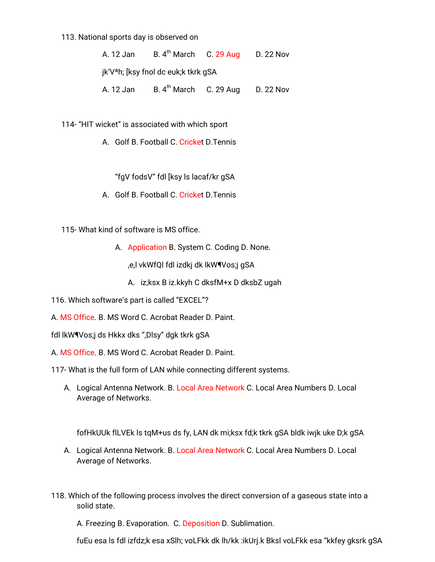#### 113. National sports day is observed on

| A. 12 Jan | B. $4^{th}$ March C. 29 Aug                      | D. 22 Nov |
|-----------|--------------------------------------------------|-----------|
|           | jk'V <sup>a</sup> h; [ksy fnol dc euk;k tkrk qSA |           |
| A. 12 Jan | B. 4 <sup>th</sup> March C. 29 Aug               | D. 22 Nov |

114- "HIT wicket" is associated with which sport

A. Golf B. Football C. Cricket D.Tennis

"fgV fodsV" fdl [ksy ls lacaf/kr gSA

- A. Golf B. Football C. Cricket D.Tennis
- 115- What kind of software is MS office.
	- A. Application B. System C. Coding D. None.

,e,l vkWfQl fdl izdkj dk lkW¶Vos;j gSA

- A. iz;ksx B iz.kkyh C dksfM+x D dksbZ ugah
- 116. Which software's part is called "EXCEL"?
- A. MS Office. B. MS Word C. Acrobat Reader D. Paint.
- fdl lkW¶Vos;j ds Hkkx dks ",Dlsy" dgk tkrk gSA
- A. MS Office. B. MS Word C. Acrobat Reader D. Paint.

117- What is the full form of LAN while connecting different systems.

A. Logical Antenna Network. B. Local Area Network C. Local Area Numbers D. Local Average of Networks.

fofHkUUk flLVEk ls tqM+us ds fy, LAN dk mi;ksx fd;k tkrk gSA bldk iwjk uke D;k gSA

- A. Logical Antenna Network. B. Local Area Network C. Local Area Numbers D. Local Average of Networks.
- 118. Which of the following process involves the direct conversion of a gaseous state into a solid state.

A. Freezing B. Evaporation. C. Deposition D. Sublimation.

fuEu esa ls fdl izfdz;k esa xSlh; voLFkk dk lh/kk :ikUrj.k Bksl voLFkk esa "kkfey gksrk gSA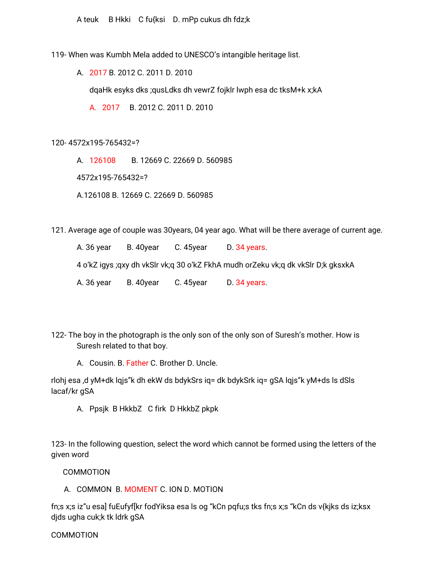A teuk B Hkki C fu{ksi D. mPp cukus dh fdz;k

119- When was Kumbh Mela added to UNESCO's intangible heritage list.

A. 2017 B. 2012 C. 2011 D. 2010

dqaHk esyks dks ;qusLdks dh vewrZ fojklr lwph esa dc tksM+k x;kA

A. 2017 B. 2012 C. 2011 D. 2010

120- 4572x195-765432=?

A. 126108 B. 12669 C. 22669 D. 560985

4572x195-765432=?

A.126108 B. 12669 C. 22669 D. 560985

121. Average age of couple was 30years, 04 year ago. What will be there average of current age.

A. 36 year B. 40 year C. 45 year D. 34 years. 4 o'kZ igys ;qxy dh vkSlr vk;q 30 o'kZ FkhA mudh orZeku vk;q dk vkSlr D;k gksxkA A. 36 year B. 40 year C. 45 year D. 34 years.

122- The boy in the photograph is the only son of the only son of Suresh's mother. How is Suresh related to that boy.

A. Cousin. B. Father C. Brother D. Uncle.

rlohj esa ,d yM+dk lqjs"k dh ekW ds bdykSrs iq= dk bdykSrk iq= gSA lqjs"k yM+ds ls dSls lacaf/kr gSA

A. Ppsjk B HkkbZ C firk D HkkbZ pkpk

123- In the following question, select the word which cannot be formed using the letters of the given word

COMMOTION

A. COMMON B. MOMENT C. ION D. MOTION

fn;s x;s iz"u esa] fuEufyf[kr fodYiksa esa ls og "kCn pqfu;s tks fn;s x;s "kCn ds v{kjks ds iz;ksx djds ugha cuk;k tk ldrk gSA

### COMMOTION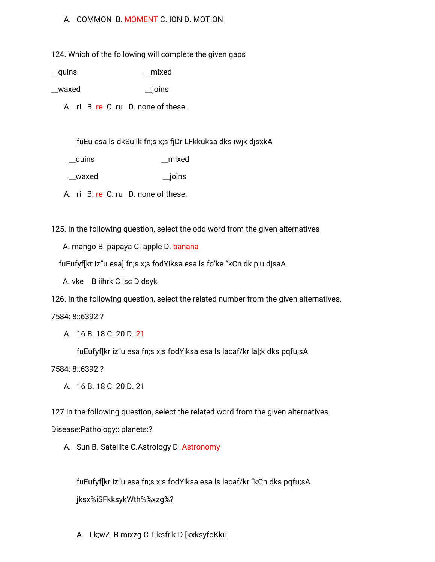## A. COMMON B. MOMENT C. ION D. MOTION

124. Which of the following will complete the given gaps

\_\_quins \_\_mixed

\_\_waxed \_\_joins

A. ri B. re C. ru D. none of these.

fuEu esa ls dkSu lk fn;s x;s fjDr LFkkuksa dks iwjk djsxkA

\_\_quins \_\_mixed

\_\_waxed \_\_joins

A. ri B. re C. ru D. none of these.

125. In the following question, select the odd word from the given alternatives

A. mango B. papaya C. apple D. banana

fuEufyf[kr iz"u esa] fn;s x;s fodYiksa esa ls fo'ke "kCn dk p;u djsaA

A. vke B iihrk C lsc D dsyk

126. In the following question, select the related number from the given alternatives.

7584: 8::6392:?

A. 16 B. 18 C. 20 D. 21

fuEufyf[kr iz"u esa fn;s x;s fodYiksa esa ls lacaf/kr la[;k dks pqfu;sA

7584: 8::6392:?

A. 16 B. 18 C. 20 D. 21

127 In the following question, select the related word from the given alternatives.

Disease:Pathology:: planets:?

A. Sun B. Satellite C.Astrology D. Astronomy

fuEufyf[kr iz"u esa fn;s x;s fodYiksa esa ls lacaf/kr "kCn dks pqfu;sA jksx%iSFkksykWth%%xzg%?

A. Lk;wZ B mixzg C T;ksfr'k D [kxksyfoKku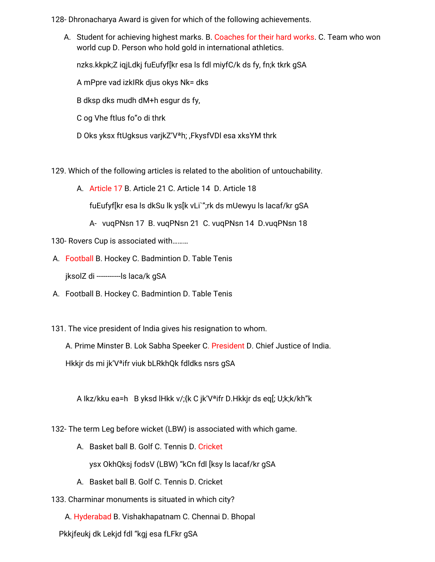128- Dhronacharya Award is given for which of the following achievements.

A. Student for achieving highest marks. B. Coaches for their hard works. C. Team who won world cup D. Person who hold gold in international athletics.

nzks.kkpk;Z iqjLdkj fuEufyf[kr esa ls fdl miyfC/k ds fy, fn;k tkrk gSA

A mPpre vad izkIRk djus okys Nk= dks

B dksp dks mudh dM+h esgur ds fy,

C og Vhe ftlus fo"o di thrk

D Oks yksx ftUgksus varjkZ'Vªh; ,FkysfVDl esa xksYM thrk

129. Which of the following articles is related to the abolition of untouchability.

A. Article 17 B. Article 21 C. Article 14 D. Article 18

fuEufyf[kr esa ls dkSu lk ys[k vLi`";rk ds mUewyu ls lacaf/kr gSA

A- vuqPNsn 17 B. vuqPNsn 21 C. vuqPNsn 14 D.vuqPNsn 18

130- Rovers Cup is associated with………

A. Football B. Hockey C. Badmintion D. Table Tenis

jksolZ di -----------ls laca/k gSA

- A. Football B. Hockey C. Badmintion D. Table Tenis
- 131. The vice president of India gives his resignation to whom.

A. Prime Minster B. Lok Sabha Speeker C. President D. Chief Justice of India. Hkkjr ds mi jk'Vªifr viuk bLRkhQk fdldks nsrs gSA

A Ikz/kku ea=h B yksd lHkk v/;{k C jk'Vªifr D.Hkkjr ds eq[; U;k;k/kh"k

132- The term Leg before wicket (LBW) is associated with which game.

A. Basket ball B. Golf C. Tennis D. Cricket

ysx OkhQksj fodsV (LBW) "kCn fdl [ksy ls lacaf/kr gSA

- A. Basket ball B. Golf C. Tennis D. Cricket
- 133. Charminar monuments is situated in which city?

A. Hyderabad B. Vishakhapatnam C. Chennai D. Bhopal

Pkkjfeukj dk Lekjd fdl "kgj esa fLFkr gSA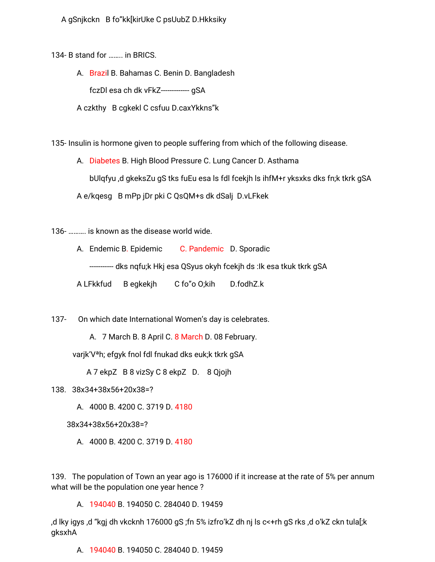A gSnjkckn B fo"kk[kirUke C psUubZ D.Hkksiky

134- B stand for ........ in BRICS.

A. Brazil B. Bahamas C. Benin D. Bangladesh fczDl esa ch dk vFkZ------------- qSA

A czkthy B cgkekl C csfuu D.caxYkkns"k

135- Insulin is hormone given to people suffering from which of the following disease.

A. Diabetes B. High Blood Pressure C. Lung Cancer D. Asthama bUlgfyu,d gkeksZu gS tks fuEu esa Is fdl fcekjh Is ihfM+r yksxks dks fn;k tkrk gSA A e/kgesg B mPp jDr pki C QsQM+s dk dSalj D.vLFkek

136- .......... is known as the disease world wide.

A. Endemic B. Epidemic C. Pandemic D. Sporadic

----------- dks nqfu;k Hkj esa QSyus okyh fcekjh ds :lk esa tkuk tkrk gSA

A LFkkfud B eqkekjh C fo"o O;kih D.fodhZ.k

137- On which date International Women's day is celebrates.

A. 7 March B. 8 April C. 8 March D. 08 February.

varjk'V<sup>a</sup>h; efgyk fnol fdl fnukad dks euk;k tkrk gSA

A 7 ekpZ B 8 vizSy C 8 ekpZ D. 8 Qjojh

- 138. 38x34+38x56+20x38=?
	- A. 4000 B. 4200 C. 3719 D. 4180

38x34+38x56+20x38=?

A. 4000 B. 4200 C. 3719 D. 4180

139. The population of Town an year ago is 176000 if it increase at the rate of 5% per annum what will be the population one year hence?

A. 194040 B. 194050 C. 284040 D. 19459

d lky igys ,d "kgj dh vkcknh 176000 gS ;fn 5% izfro'kZ dh nj ls c<+rh gS rks ,d o'kZ ckn tula[;k, gksxhA

A. 194040 B. 194050 C. 284040 D. 19459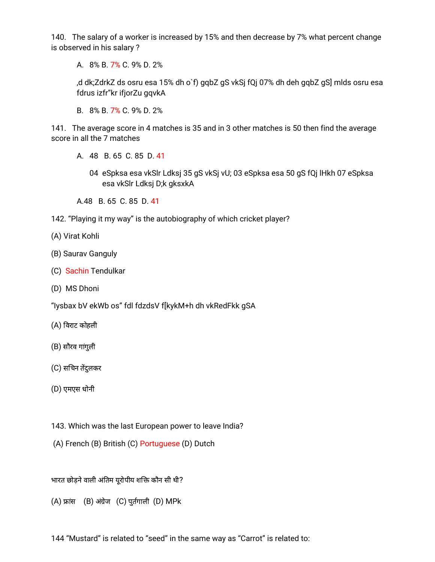140. The salary of a worker is increased by 15% and then decrease by 7% what percent change is observed in his salary ?

A. 8% B. 7% C. 9% D. 2%

,d dk;ZdrkZ ds osru esa 15% dh o`f) gqbZ gS vkSj fQj 07% dh deh gqbZ gS] mlds osru esa fdrus izfr"kr ifjorZu gqvkA

B. 8% B. 7% C. 9% D. 2%

141. The average score in 4 matches is 35 and in 3 other matches is 50 then find the average score in all the 7 matches

A. 48 B. 65 C. 85 D. 41

04 eSpksa esa vkSlr Ldksj 35 gS vkSj vU; 03 eSpksa esa 50 gS fQj lHkh 07 eSpksa esa vkSlr Ldksj D;k gksxkA

A.48 B. 65 C. 85 D. 41

- 142. "Playing it my way" is the autobiography of which cricket player?
- (A) Virat Kohli
- (B) Saurav Ganguly
- (C) Sachin Tendulkar
- (D) MS Dhoni

"Iysbax bV ekWb os" fdl fdzdsV f[kykM+h dh vkRedFkk gSA

- (A) वराट कोहली
- (B) सौरव गांगुली
- (C) सचिन तेंदुलकर
- (D) एमएस धोनी
- 143. Which was the last European power to leave India?
- (A) French (B) British (C) Portuguese (D) Dutch

भारत छोड़ने वाली अंतिम यूरोपीय शक्ति कौन सी थी?

- $(A)$  फ्रांस  $(B)$  अंग्रेज  $(C)$  पुर्तगाली  $(D)$  MPk
- 144 "Mustard" is related to "seed" in the same way as "Carrot" is related to: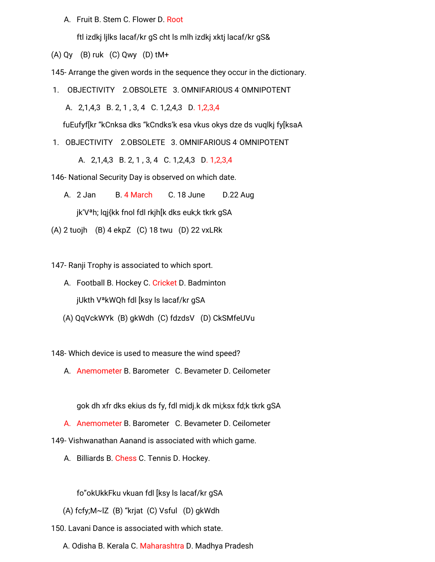A. Fruit B. Stem C. Flower D. Root

ftl izdkj ljlks lacaf/kr gS cht ls mlh izdkj xktj lacaf/kr gS&

(A) Qy (B) ruk (C) Qwy (D) tM+

145- Arrange the given words in the sequence they occur in the dictionary.

1. OBJECTIVITY 2.0BSOLETE 3. OMNIFARIOUS 4 OMNIPOTENT

A. 2,1,4,3 B. 2, 1 , 3, 4 C. 1,2,4,3 D. 1,2,3,4

fuEufyf[kr "kCnksa dks "kCndks'k esa vkus okys dze ds vuqlkj fy[ksaA

1. OBJECTIVITY 2.OBSOLETE 3. OMNIFARIOUS 4 OMNIPOTENT

A. 2,1,4,3 B. 2, 1 , 3, 4 C. 1,2,4,3 D. 1,2,3,4

146- National Security Day is observed on which date.

A. 2 Jan B. 4 March C. 18 June D.22 Aug

jk'Vªh; lqj{kk fnol fdl rkjh[k dks euk;k tkrk gSA

(A) 2 tuojh (B) 4 ekpZ (C) 18 twu (D) 22 vxLRk

147- Ranji Trophy is associated to which sport.

- A. Football B. Hockey C. Cricket D. Badminton jUkth VªkWQh fdl [ksy ls lacaf/kr gSA
- (A) QqVckWYk (B) gkWdh (C) fdzdsV (D) CkSMfeUVu

148- Which device is used to measure the wind speed?

A. Anemometer B. Barometer C. Bevameter D. Ceilometer

gok dh xfr dks ekius ds fy, fdl midj.k dk mi;ksx fd;k tkrk gSA

A. Anemometer B. Barometer C. Bevameter D. Ceilometer

149- Vishwanathan Aanand is associated with which game.

A. Billiards B. Chess C. Tennis D. Hockey.

fo"okUkkFku vkuan fdl [ksy ls lacaf/kr gSA

(A) fcfy;M~lZ (B) "krjat (C) Vsful (D) gkWdh

150. Lavani Dance is associated with which state.

A. Odisha B. Kerala C. Maharashtra D. Madhya Pradesh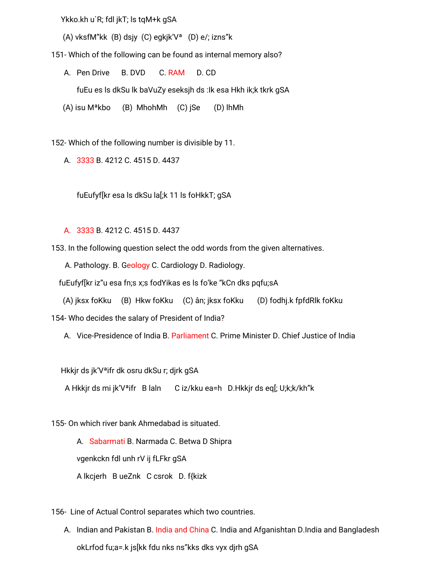Ykko.kh u`R; fdl jkT; ls tqM+k gSA

(A) vksfM"kk (B) dsjy (C) egkjk'V<sup>a</sup> (D) e/; izns"k

151- Which of the following can be found as internal memory also?

B. DVD C. RAM A. Pen Drive D. CD

fuEu es Is dkSu lk baVuZy eseksjh ds : Ik esa Hkh ik;k tkrk gSA

(A) isu M<sup>a</sup>kbo (B) MhohMh (C) jSe (D) lhMh

152- Which of the following number is divisible by 11.

A. 3333 B. 4212 C. 4515 D. 4437

fuEufyf[kr esa ls dkSu la[;k 11 ls foHkkT; gSA

A. 3333 B. 4212 C. 4515 D. 4437

153. In the following question select the odd words from the given alternatives.

A. Pathology. B. Geology C. Cardiology D. Radiology.

fuEufyf[kr iz"u esa fn;s x;s fodYikas es ls fo'ke "kCn dks pqfu;sA

(A) jksx foKku (B) Hkw foKku (C) ân; jksx foKku (D) fodhj.k fpfdRlk foKku 154- Who decides the salary of President of India?

A. Vice-Presidence of India B. Parliament C. Prime Minister D. Chief Justice of India

Hkkjr ds jk'V<sup>a</sup>ifr dk osru dkSu r; djrk gSA

A Hkkjr ds mi jk'V<sup>a</sup>ifr Blaln Ciz/kku ea=h D.Hkkjr ds eq[; U;k;k/kh"k

155- On which river bank Ahmedabad is situated.

A. Sabarmati B. Narmada C. Betwa D Shipra vgenkckn fdl unh rV ij fLFkr gSA A Ikcjerh B ueZnk C csrok D. f{kizk

156- Line of Actual Control separates which two countries.

A. Indian and Pakistan B. India and China C. India and Afganishtan D.India and Bangladesh okLrfod fu;a=.k js[kk fdu nks ns"kks dks vyx djrh gSA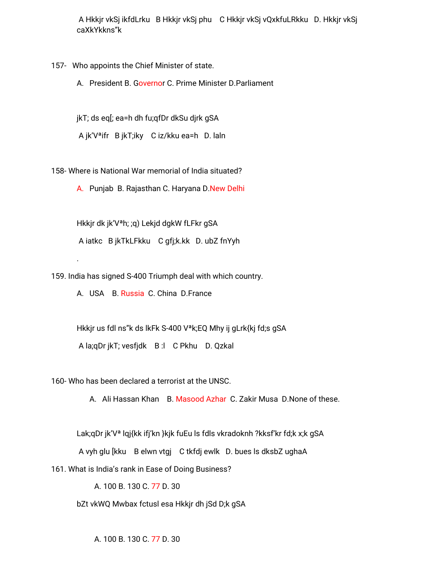A Hkkjr vkSj ikfdLrku B Hkkjr vkSj phu C Hkkjr vkSj vQxkfuLRkku D. Hkkjr vkSj caXkYkkns"k

157- Who appoints the Chief Minister of state.

A. President B. Governor C. Prime Minister D.Parliament

jkT; ds eq[; ea=h dh fu;qfDr dkSu djrk gSA

A jk'Vªifr B jkT;iky C iz/kku ea=h D. laln

158- Where is National War memorial of India situated?

A. Punjab B. Rajasthan C. Haryana D.New Delhi

Hkkjr dk jk'Vªh; ;q) Lekjd dgkW fLFkr gSA A iatkc B jkTkLFkku C gfj;k.kk D. ubZ fnYyh

159. India has signed S-400 Triumph deal with which country.

A. USA B. Russia C. China D.France

.

Hkkjr us fdl ns"k ds lkFk S-400 Vªk;EQ Mhy ij gLrk{kj fd;s gSA A la;qDr jkT; vesfjdk B :l C Pkhu D. Qzkal

160- Who has been declared a terrorist at the UNSC.

A. Ali Hassan Khan B. Masood Azhar C. Zakir Musa D.None of these.

Lak;qDr jk'V<sup>a</sup> lqj{kk ifj'kn }kjk fuEu ls fdls vkradoknh ?kksf'kr fd;k x;k qSA

A vyh glu [kku B elwn vtgj C tkfdj ewlk D. bues ls dksbZ ughaA

161. What is India's rank in Ease of Doing Business?

A. 100 B. 130 C. 77 D. 30

bZt vkWQ Mwbax fctusl esa Hkkjr dh jSd D;k gSA

A. 100 B. 130 C. 77 D. 30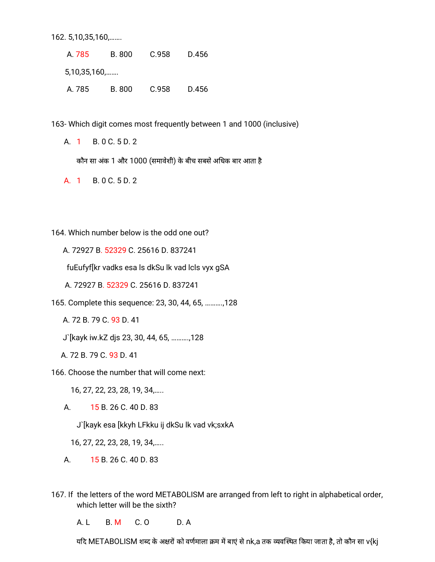162. 5, 10, 35, 160, ... ....

A. 785 B. 800 C.958 D.456 5,10,35,160, ... ... A. 785 B. 800 C.958 D.456

163- Which digit comes most frequently between 1 and 1000 (inclusive)

A. 1 B. 0 C. 5 D. 2

कौन सा अंक 1 और 1000 (समावेशी) के बीच सबसे अधिक बार आता है

A. 1 B. 0 C. 5 D. 2

164. Which number below is the odd one out?

A. 72927 B. 52329 C. 25616 D. 837241

fuEufyf[kr vadks esa Is dkSu lk vad Icls vyx gSA

A. 72927 B. 52329 C. 25616 D. 837241

165. Complete this sequence: 23, 30, 44, 65, .........., 128

A. 72 B. 79 C. 93 D. 41

J'[kayk iw.kZ djs 23, 30, 44, 65, .........., 128

A. 72 B. 79 C. 93 D. 41

166. Choose the number that will come next:

16, 27, 22, 23, 28, 19, 34, ....

A. 15 B. 26 C. 40 D. 83

J`[kayk esa [kkyh LFkku ij dkSu lk vad vk;sxkA

16, 27, 22, 23, 28, 19, 34, ....

A. 15 B. 26 C. 40 D. 83

167. If the letters of the word METABOLISM are arranged from left to right in alphabetical order, which letter will be the sixth?

 $A. L$ **B. M**  $C. O$  $D. A$ 

यदि METABOLISM शब्द के अक्षरों को वर्णमाला क्रम में बाएं से nk,a तक व्यवस्थित किया जाता है, तो कौन सा v{kj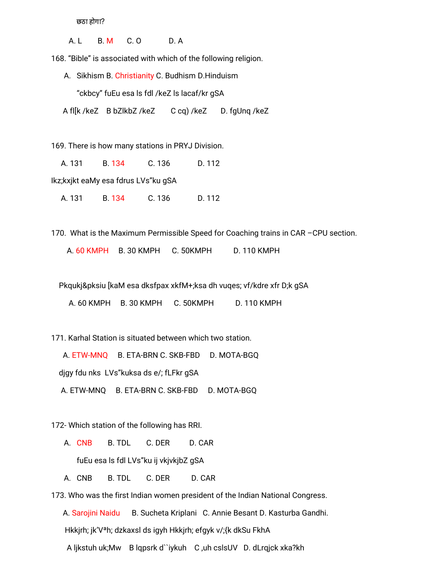छठा होगा?

A. L B. M C. O D. A

168. "Bible" is associated with which of the following religion.

- A. Sikhism B. Christianity C. Budhism D.Hinduism "ckbcy" fuEu esa ls fdl /keZ ls lacaf/kr gSA
- A fl[k /keZ B bZlkbZ /keZ C cq) /keZ D. fgUnq /keZ

169. There is how many stations in PRYJ Division.

A. 131 B. 134 C. 136 D. 112

Ikz;kxjkt eaMy esa fdrus LVs"ku gSA

A. 131 B. 134 C. 136 D. 112

170. What is the Maximum Permissible Speed for Coaching trains in CAR –CPU section.

A. 60 KMPH B. 30 KMPH C. 50KMPH D. 110 KMPH

Pkqukj&pksiu [kaM esa dksfpax xkfM+;ksa dh vuqes; vf/kdre xfr D;k gSA

A. 60 KMPH B. 30 KMPH C. 50KMPH D. 110 KMPH

171. Karhal Station is situated between which two station.

A. ETW-MNQ B. ETA-BRN C. SKB-FBD D. MOTA-BGQ

djgy fdu nks LVs"kuksa ds e/; fLFkr gSA

A. ETW-MNQ B. ETA-BRN C. SKB-FBD D. MOTA-BGQ

172- Which station of the following has RRI.

- A. CNB B. TDL C. DER D. CAR fuEu esa ls fdl LVs"ku ij vkjvkjbZ gSA
- A. CNB B. TDL C. DER D. CAR

173. Who was the first Indian women president of the Indian National Congress.

A. Sarojini Naidu B. Sucheta Kriplani C. Annie Besant D. Kasturba Gandhi. Hkkjrh; jk'Vªh; dzkaxsl ds igyh Hkkjrh; efgyk v/;{k dkSu FkhA A ljkstuh uk;Mw B lqpsrk d``iykuh C ,uh cslsUV D. dLrqjck xka?kh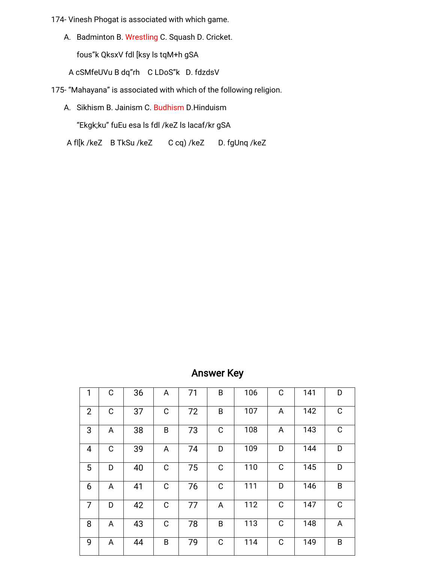174- Vinesh Phogat is associated with which game.

A. Badminton B. Wrestling C. Squash D. Cricket.

fous"k QksxV fdl [ksy ls tqM+h gSA

A cSMfeUVu B dq"rh C LDoS"k D. fdzdsV

175- "Mahayana" is associated with which of the following religion.

A. Sikhism B. Jainism C. Budhism D. Hinduism

"Ekgk;ku" fuEu esa ls fdl /keZ ls lacaf/kr gSA

A fl[k /keZ B TkSu /keZ C cq) /keZ D. fgUnq /keZ

# **Answer Key**

| 1              | C | 36 | A | 71 | B | 106 | C           | 141 | D           |
|----------------|---|----|---|----|---|-----|-------------|-----|-------------|
| $\overline{2}$ | C | 37 | C | 72 | B | 107 | A           | 142 | C           |
| 3              | A | 38 | B | 73 | C | 108 | A           | 143 | $\mathsf C$ |
| $\overline{4}$ | C | 39 | A | 74 | D | 109 | D           | 144 | D           |
| 5              | D | 40 | С | 75 | C | 110 | C           | 145 | D           |
| 6              | A | 41 | C | 76 | C | 111 | D           | 146 | B           |
| 7              | D | 42 | С | 77 | A | 112 | $\mathsf C$ | 147 | $\mathsf C$ |
| 8              | A | 43 | С | 78 | B | 113 | C           | 148 | A           |
| 9              | A | 44 | B | 79 | C | 114 | C           | 149 | B           |